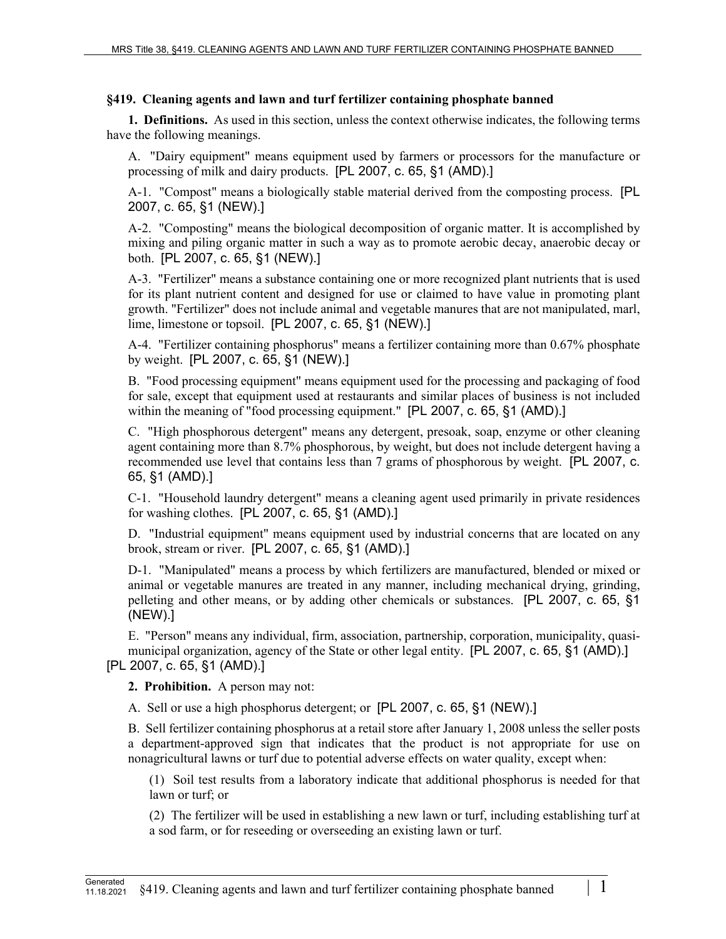## **§419. Cleaning agents and lawn and turf fertilizer containing phosphate banned**

**1. Definitions.** As used in this section, unless the context otherwise indicates, the following terms have the following meanings.

A. "Dairy equipment" means equipment used by farmers or processors for the manufacture or processing of milk and dairy products. [PL 2007, c. 65, §1 (AMD).]

A-1. "Compost" means a biologically stable material derived from the composting process. [PL 2007, c. 65, §1 (NEW).]

A-2. "Composting" means the biological decomposition of organic matter. It is accomplished by mixing and piling organic matter in such a way as to promote aerobic decay, anaerobic decay or both. [PL 2007, c. 65, §1 (NEW).]

A-3. "Fertilizer" means a substance containing one or more recognized plant nutrients that is used for its plant nutrient content and designed for use or claimed to have value in promoting plant growth. "Fertilizer" does not include animal and vegetable manures that are not manipulated, marl, lime, limestone or topsoil. [PL 2007, c. 65, §1 (NEW).]

A-4. "Fertilizer containing phosphorus" means a fertilizer containing more than 0.67% phosphate by weight. [PL 2007, c. 65, §1 (NEW).]

B. "Food processing equipment" means equipment used for the processing and packaging of food for sale, except that equipment used at restaurants and similar places of business is not included within the meaning of "food processing equipment." [PL 2007, c. 65, §1 (AMD).]

C. "High phosphorous detergent" means any detergent, presoak, soap, enzyme or other cleaning agent containing more than 8.7% phosphorous, by weight, but does not include detergent having a recommended use level that contains less than 7 grams of phosphorous by weight. [PL 2007, c. 65, §1 (AMD).]

C-1. "Household laundry detergent" means a cleaning agent used primarily in private residences for washing clothes. [PL 2007, c. 65, §1 (AMD).]

D. "Industrial equipment" means equipment used by industrial concerns that are located on any brook, stream or river. [PL 2007, c. 65, §1 (AMD).]

D-1. "Manipulated" means a process by which fertilizers are manufactured, blended or mixed or animal or vegetable manures are treated in any manner, including mechanical drying, grinding, pelleting and other means, or by adding other chemicals or substances. [PL 2007, c. 65, §1 (NEW).]

E. "Person" means any individual, firm, association, partnership, corporation, municipality, quasimunicipal organization, agency of the State or other legal entity. [PL 2007, c. 65, §1 (AMD).] [PL 2007, c. 65, §1 (AMD).]

**2. Prohibition.** A person may not:

A. Sell or use a high phosphorus detergent; or [PL 2007, c. 65, §1 (NEW).]

B. Sell fertilizer containing phosphorus at a retail store after January 1, 2008 unless the seller posts a department-approved sign that indicates that the product is not appropriate for use on nonagricultural lawns or turf due to potential adverse effects on water quality, except when:

(1) Soil test results from a laboratory indicate that additional phosphorus is needed for that lawn or turf; or

(2) The fertilizer will be used in establishing a new lawn or turf, including establishing turf at a sod farm, or for reseeding or overseeding an existing lawn or turf.